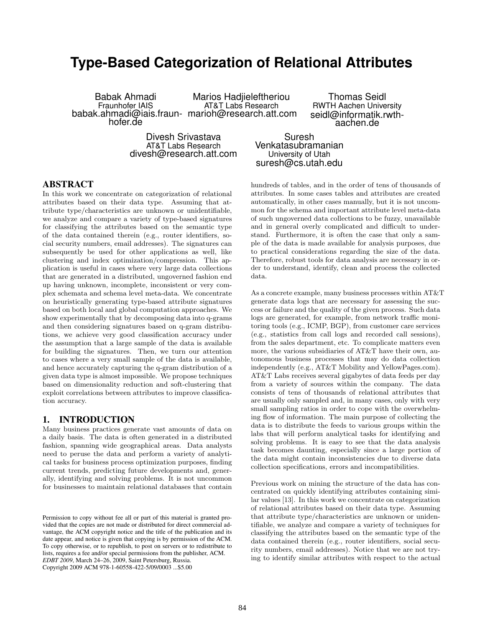# **Type-Based Categorization of Relational Attributes**

Babak Ahmadi Fraunhofer IAIS babak.ahmadi@iais.fraun-marioh@research.att.com hofer.de Marios Hadjieleftheriou AT&T Labs Research

> Divesh Srivastava AT&T Labs Research divesh@research.att.com

Thomas Seidl RWTH Aachen University seidl@informatik.rwthaachen.de

Suresh Venkatasubramanian University of Utah suresh@cs.utah.edu

# ABSTRACT

In this work we concentrate on categorization of relational attributes based on their data type. Assuming that attribute type/characteristics are unknown or unidentifiable, we analyze and compare a variety of type-based signatures for classifying the attributes based on the semantic type of the data contained therein (e.g., router identifiers, social security numbers, email addresses). The signatures can subsequently be used for other applications as well, like clustering and index optimization/compression. This application is useful in cases where very large data collections that are generated in a distributed, ungoverned fashion end up having unknown, incomplete, inconsistent or very complex schemata and schema level meta-data. We concentrate on heuristically generating type-based attribute signatures based on both local and global computation approaches. We show experimentally that by decomposing data into q-grams and then considering signatures based on q-gram distributions, we achieve very good classification accuracy under the assumption that a large sample of the data is available for building the signatures. Then, we turn our attention to cases where a very small sample of the data is available, and hence accurately capturing the q-gram distribution of a given data type is almost impossible. We propose techniques based on dimensionality reduction and soft-clustering that exploit correlations between attributes to improve classification accuracy.

#### 1. INTRODUCTION

Many business practices generate vast amounts of data on a daily basis. The data is often generated in a distributed fashion, spanning wide geographical areas. Data analysts need to peruse the data and perform a variety of analytical tasks for business process optimization purposes, finding current trends, predicting future developments and, generally, identifying and solving problems. It is not uncommon for businesses to maintain relational databases that contain

hundreds of tables, and in the order of tens of thousands of attributes. In some cases tables and attributes are created automatically, in other cases manually, but it is not uncommon for the schema and important attribute level meta-data of such ungoverned data collections to be fuzzy, unavailable and in general overly complicated and difficult to understand. Furthermore, it is often the case that only a sample of the data is made available for analysis purposes, due to practical considerations regarding the size of the data. Therefore, robust tools for data analysis are necessary in order to understand, identify, clean and process the collected data.

As a concrete example, many business processes within AT&T generate data logs that are necessary for assessing the success or failure and the quality of the given process. Such data logs are generated, for example, from network traffic monitoring tools (e.g., ICMP, BGP), from customer care services (e.g., statistics from call logs and recorded call sessions), from the sales department, etc. To complicate matters even more, the various subsidiaries of AT&T have their own, autonomous business processes that may do data collection independently (e.g., AT&T Mobility and YellowPages.com). AT&T Labs receives several gigabytes of data feeds per day from a variety of sources within the company. The data consists of tens of thousands of relational attributes that are usually only sampled and, in many cases, only with very small sampling ratios in order to cope with the overwhelming flow of information. The main purpose of collecting the data is to distribute the feeds to various groups within the labs that will perform analytical tasks for identifying and solving problems. It is easy to see that the data analysis task becomes daunting, especially since a large portion of the data might contain inconsistencies due to diverse data collection specifications, errors and incompatibilities.

Previous work on mining the structure of the data has concentrated on quickly identifying attributes containing similar values [13]. In this work we concentrate on categorization of relational attributes based on their data type. Assuming that attribute type/characteristics are unknown or unidentifiable, we analyze and compare a variety of techniques for classifying the attributes based on the semantic type of the data contained therein (e.g., router identifiers, social security numbers, email addresses). Notice that we are not trying to identify similar attributes with respect to the actual

Permission to copy without fee all or part of this material is granted provided that the copies are not made or distributed for direct commercial advantage, the ACM copyright notice and the title of the publication and its date appear, and notice is given that copying is by permission of the ACM. To copy otherwise, or to republish, to post on servers or to redistribute to lists, requires a fee and/or special permissions from the publisher, ACM. *EDBT 2009*, March 24–26, 2009, Saint Petersburg, Russia. Copyright 2009 ACM 978-1-60558-422-5/09/0003 ...\$5.00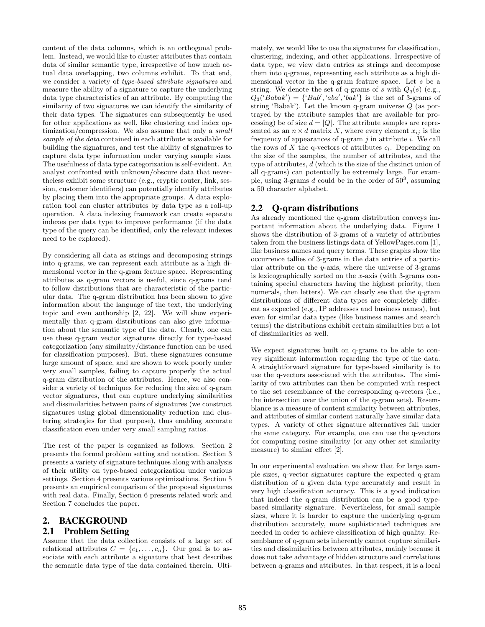content of the data columns, which is an orthogonal problem. Instead, we would like to cluster attributes that contain data of similar semantic type, irrespective of how much actual data overlapping, two columns exhibit. To that end, we consider a variety of type-based attribute signatures and measure the ability of a signature to capture the underlying data type characteristics of an attribute. By computing the similarity of two signatures we can identify the similarity of their data types. The signatures can subsequently be used for other applications as well, like clustering and index optimization/compression. We also assume that only a small sample of the data contained in each attribute is available for building the signatures, and test the ability of signatures to capture data type information under varying sample sizes. The usefulness of data type categorization is self-evident. An analyst confronted with unknown/obscure data that nevertheless exhibit some structure (e.g., cryptic router, link, session, customer identifiers) can potentially identify attributes by placing them into the appropriate groups. A data exploration tool can cluster attributes by data type as a roll-up operation. A data indexing framework can create separate indexes per data type to improve performance (if the data type of the query can be identified, only the relevant indexes need to be explored).

By considering all data as strings and decomposing strings into q-grams, we can represent each attribute as a high dimensional vector in the q-gram feature space. Representing attributes as q-gram vectors is useful, since q-grams tend to follow distributions that are characteristic of the particular data. The q-gram distribution has been shown to give information about the language of the text, the underlying topic and even authorship [2, 22]. We will show experimentally that q-gram distributions can also give information about the semantic type of the data. Clearly, one can use these q-gram vector signatures directly for type-based categorization (any similarity/distance function can be used for classification purposes). But, these signatures consume large amount of space, and are shown to work poorly under very small samples, failing to capture properly the actual q-gram distribution of the attributes. Hence, we also consider a variety of techniques for reducing the size of q-gram vector signatures, that can capture underlying similarities and dissimilarities between pairs of signatures (we construct signatures using global dimensionality reduction and clustering strategies for that purpose), thus enabling accurate classification even under very small sampling ratios.

The rest of the paper is organized as follows. Section 2 presents the formal problem setting and notation. Section 3 presents a variety of signature techniques along with analysis of their utility on type-based categorization under various settings. Section 4 presents various optimizations. Section 5 presents an empirical comparison of the proposed signatures with real data. Finally, Section 6 presents related work and Section 7 concludes the paper.

# 2. BACKGROUND 2.1 Problem Setting

Assume that the data collection consists of a large set of relational attributes  $C = \{c_1, \ldots, c_n\}$ . Our goal is to associate with each attribute a signature that best describes the semantic data type of the data contained therein. Ultimately, we would like to use the signatures for classification, clustering, indexing, and other applications. Irrespective of data type, we view data entries as strings and decompose them into q-grams, representing each attribute as a high dimensional vector in the q-gram feature space. Let s be a string. We denote the set of q-grams of s with  $Q_q(s)$  (e.g.,  $Q_3(^{\iota}Babak') = {^{\iota}Bab',^{\iota}aba',^{\iota}bak'}$  is the set of 3-grams of string 'Babak'). Let the known q-gram universe Q (as portrayed by the attribute samples that are available for processing) be of size  $d = |Q|$ . The attribute samples are represented as an  $n \times d$  matrix X, where every element  $x_{ij}$  is the frequency of appearances of q-gram  $j$  in attribute  $i$ . We call the rows of  $X$  the q-vectors of attributes  $c_i$ . Depending on the size of the samples, the number of attributes, and the type of attributes, d (which is the size of the distinct union of all q-grams) can potentially be extremely large. For example, using 3-grams d could be in the order of  $50^3$ , assuming a 50 character alphabet.

# 2.2 Q-qram distributions

As already mentioned the q-gram distribution conveys important information about the underlying data. Figure 1 shows the distribution of 3-grams of a variety of attributes taken from the business listings data of YellowPages.com [1], like business names and query terms. These graphs show the occurrence tallies of 3-grams in the data entries of a particular attribute on the  $y$ -axis, where the universe of 3-grams is lexicographically sorted on the x-axis (with 3-grams containing special characters having the highest priority, then numerals, then letters). We can clearly see that the q-gram distributions of different data types are completely different as expected (e.g., IP addresses and business names), but even for similar data types (like business names and search terms) the distributions exhibit certain similarities but a lot of dissimilarities as well.

We expect signatures built on q-grams to be able to convey significant information regarding the type of the data. A straightforward signature for type-based similarity is to use the q-vectors associated with the attributes. The similarity of two attributes can then be computed with respect to the set resemblance of the corresponding q-vectors (i.e., the intersection over the union of the q-gram sets). Resemblance is a measure of content similarity between attributes, and attributes of similar content naturally have similar data types. A variety of other signature alternatives fall under the same category. For example, one can use the q-vectors for computing cosine similarity (or any other set similarity measure) to similar effect [2].

In our experimental evaluation we show that for large sample sizes, q-vector signatures capture the expected q-gram distribution of a given data type accurately and result in very high classification accuracy. This is a good indication that indeed the q-gram distribution can be a good typebased similarity signature. Nevertheless, for small sample sizes, where it is harder to capture the underlying q-gram distribution accurately, more sophisticated techniques are needed in order to achieve classification of high quality. Resemblance of q-gram sets inherently cannot capture similarities and dissimilarities between attributes, mainly because it does not take advantage of hidden structure and correlations between q-grams and attributes. In that respect, it is a local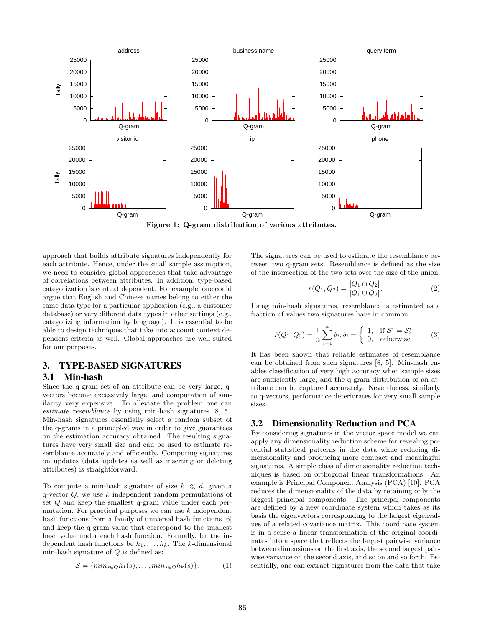

Figure 1: Q-gram distribution of various attributes.

approach that builds attribute signatures independently for each attribute. Hence, under the small sample assumption, we need to consider global approaches that take advantage of correlations between attributes. In addition, type-based categorization is context dependent. For example, one could argue that English and Chinese names belong to either the same data type for a particular application (e.g., a customer database) or very different data types in other settings (e.g., categorizing information by language). It is essential to be able to design techniques that take into account context dependent criteria as well. Global approaches are well suited for our purposes.

# 3. TYPE-BASED SIGNATURES

#### 3.1 Min-hash

Since the q-gram set of an attribute can be very large, qvectors become excessively large, and computation of similarity very expensive. To alleviate the problem one can estimate resemblance by using min-hash signatures [8, 5]. Min-hash signatures essentially select a random subset of the q-grams in a principled way in order to give guarantees on the estimation accuracy obtained. The resulting signatures have very small size and can be used to estimate resemblance accurately and efficiently. Computing signatures on updates (data updates as well as inserting or deleting attributes) is straightforward.

To compute a min-hash signature of size  $k \ll d$ , given a q-vector  $Q$ , we use  $k$  independent random permutations of set Q and keep the smallest q-gram value under each permutation. For practical purposes we can use  $k$  independent hash functions from a family of universal hash functions [6] and keep the q-gram value that correspond to the smallest hash value under each hash function. Formally, let the independent hash functions be  $h_1, \ldots, h_k$ . The k-dimensional min-hash signature of  $Q$  is defined as:

$$
S = \{ \min_{s \in Q} h_1(s), \dots, \min_{s \in Q} h_k(s) \}. \tag{1}
$$

The signatures can be used to estimate the resemblance between two q-gram sets. Resemblance is defined as the size of the intersection of the two sets over the size of the union:

$$
r(Q_1, Q_2) = \frac{|Q_1 \cap Q_2|}{|Q_1 \cup Q_2|}.
$$
 (2)

Using min-hash signatures, resemblance is estimated as a fraction of values two signatures have in common:

$$
\hat{r}(Q_1, Q_2) = \frac{1}{n} \sum_{i=1}^{k} \delta_i, \delta_i = \begin{cases} 1, & \text{if } \mathcal{S}_1^i = \mathcal{S}_2^i \\ 0, & \text{otherwise} \end{cases} \tag{3}
$$

It has been shown that reliable estimates of resemblance can be obtained from such signatures [8, 5]. Min-hash enables classification of very high accuracy when sample sizes are sufficiently large, and the q-gram distribution of an attribute can be captured accurately. Nevertheless, similarly to q-vectors, performance deteriorates for very small sample sizes.

#### 3.2 Dimensionality Reduction and PCA

By considering signatures in the vector space model we can apply any dimensionality reduction scheme for revealing potential statistical patterns in the data while reducing dimensionality and producing more compact and meaningful signatures. A simple class of dimensionality reduction techniques is based on orthogonal linear transformations. An example is Principal Component Analysis (PCA) [10]. PCA reduces the dimensionality of the data by retaining only the biggest principal components. The principal components are defined by a new coordinate system which takes as its basis the eigenvectors corresponding to the largest eigenvalues of a related covariance matrix. This coordinate system is in a sense a linear transformation of the original coordinates into a space that reflects the largest pairwise variance between dimensions on the first axis, the second largest pairwise variance on the second axis, and so on and so forth. Essentially, one can extract signatures from the data that take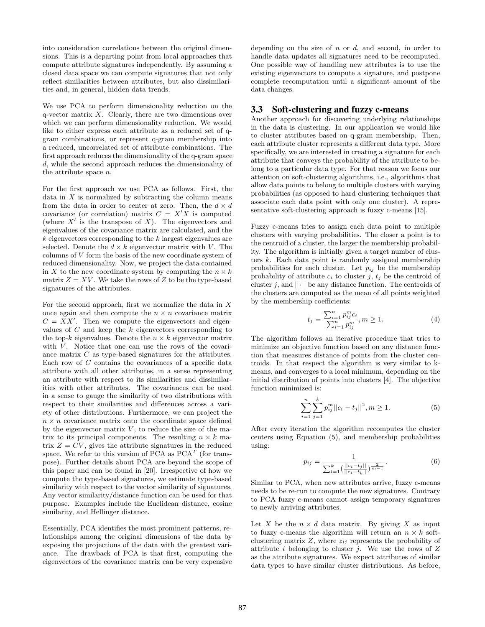into consideration correlations between the original dimensions. This is a departing point from local approaches that compute attribute signatures independently. By assuming a closed data space we can compute signatures that not only reflect similarities between attributes, but also dissimilarities and, in general, hidden data trends.

We use PCA to perform dimensionality reduction on the  $q$ -vector matrix  $X$ . Clearly, there are two dimensions over which we can perform dimensionality reduction. We would like to either express each attribute as a reduced set of qgram combinations, or represent q-gram membership into a reduced, uncorrelated set of attribute combinations. The first approach reduces the dimensionality of the q-gram space d, while the second approach reduces the dimensionality of the attribute space n.

For the first approach we use PCA as follows. First, the data in  $X$  is normalized by subtracting the column means from the data in order to center at zero. Then, the  $d \times d$ covariance (or correlation) matrix  $C = X'X$  is computed (where  $X'$  is the transpose of  $X$ ). The eigenvectors and eigenvalues of the covariance matrix are calculated, and the  $k$  eigenvectors corresponding to the  $k$  largest eigenvalues are selected. Denote the  $d \times k$  eigenvector matrix with V. The columns of V form the basis of the new coordinate system of reduced dimensionality. Now, we project the data contained in X to the new coordinate system by computing the  $n \times k$ matrix  $Z = XV$ . We take the rows of Z to be the type-based signatures of the attributes.

For the second approach, first we normalize the data in  $X$ once again and then compute the  $n \times n$  covariance matrix  $C = XX'$ . Then we compute the eigenvectors and eigenvalues of  $C$  and keep the  $k$  eigenvectors corresponding to the top-k eigenvalues. Denote the  $n \times k$  eigenvector matrix with  $V$ . Notice that one can use the rows of the covariance matrix C as type-based signatures for the attributes. Each row of C contains the covariances of a specific data attribute with all other attributes, in a sense representing an attribute with respect to its similarities and dissimilarities with other attributes. The covariances can be used in a sense to gauge the similarity of two distributions with respect to their similarities and differences across a variety of other distributions. Furthermore, we can project the  $n \times n$  covariance matrix onto the coordinate space defined by the eigenvector matrix  $V$ , to reduce the size of the matrix to its principal components. The resulting  $n \times k$  matrix  $Z = CV$ , gives the attribute signatures in the reduced space. We refer to this version of PCA as  $PCA<sup>T</sup>$  (for transpose). Further details about PCA are beyond the scope of this paper and can be found in [20]. Irrespective of how we compute the type-based signatures, we estimate type-based similarity with respect to the vector similarity of signatures. Any vector similarity/distance function can be used for that purpose. Examples include the Euclidean distance, cosine similarity, and Hellinger distance.

Essentially, PCA identifies the most prominent patterns, relationships among the original dimensions of the data by exposing the projections of the data with the greatest variance. The drawback of PCA is that first, computing the eigenvectors of the covariance matrix can be very expensive

depending on the size of  $n$  or  $d$ , and second, in order to handle data updates all signatures need to be recomputed. One possible way of handling new attributes is to use the existing eigenvectors to compute a signature, and postpone complete recomputation until a significant amount of the data changes.

#### 3.3 Soft-clustering and fuzzy c-means

Another approach for discovering underlying relationships in the data is clustering. In our application we would like to cluster attributes based on q-gram membership. Then, each attribute cluster represents a different data type. More specifically, we are interested in creating a signature for each attribute that conveys the probability of the attribute to belong to a particular data type. For that reason we focus our attention on soft-clustering algorithms, i.e., algorithms that allow data points to belong to multiple clusters with varying probabilities (as opposed to hard clustering techniques that associate each data point with only one cluster). A representative soft-clustering approach is fuzzy c-means [15].

Fuzzy c-means tries to assign each data point to multiple clusters with varying probabilities. The closer a point is to the centroid of a cluster, the larger the membership probability. The algorithm is initially given a target number of clusters k. Each data point is randomly assigned membership probabilities for each cluster. Let  $p_{ij}$  be the membership probability of attribute  $c_i$  to cluster j,  $t_j$  be the centroid of cluster *i*, and  $||\cdot||$  be any distance function. The centroids of the clusters are computed as the mean of all points weighted by the membership coefficients:

$$
t_j = \frac{\sum_{i=1}^{n} p_{ij}^m c_i}{\sum_{i=1}^{n} p_{ij}^m}, m \ge 1.
$$
 (4)

The algorithm follows an iterative procedure that tries to minimize an objective function based on any distance function that measures distance of points from the cluster centroids. In that respect the algorithm is very similar to kmeans, and converges to a local minimum, depending on the initial distribution of points into clusters [4]. The objective function minimized is:

$$
\sum_{i=1}^{n} \sum_{j=1}^{k} p_{ij}^{m} ||c_i - t_j||^2, m \ge 1.
$$
 (5)

After every iteration the algorithm recomputes the cluster centers using Equation (5), and membership probabilities using:

$$
p_{ij} = \frac{1}{\sum_{l=1}^{k} \left( \frac{||c_i - t_j||}{||c_i - t_k||} \right)^{\frac{2}{m-1}}}.
$$
\n(6)

Similar to PCA, when new attributes arrive, fuzzy c-means needs to be re-run to compute the new signatures. Contrary to PCA fuzzy c-means cannot assign temporary signatures to newly arriving attributes.

Let X be the  $n \times d$  data matrix. By giving X as input to fuzzy c-means the algorithm will return an  $n \times k$  softclustering matrix Z, where  $z_{ij}$  represents the probability of attribute i belonging to cluster j. We use the rows of  $Z$ as the attribute signatures. We expect attributes of similar data types to have similar cluster distributions. As before,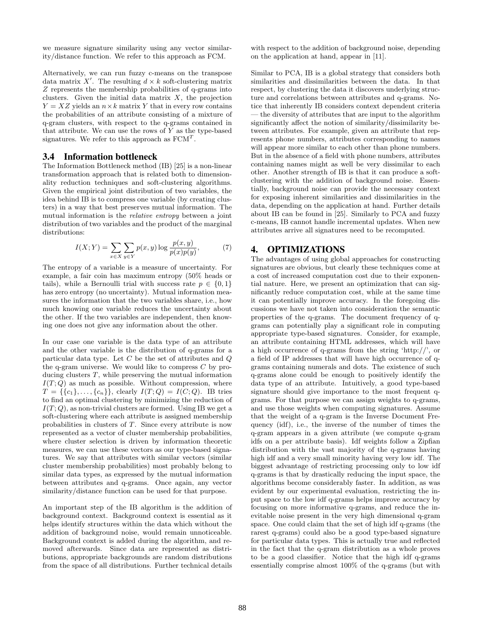we measure signature similarity using any vector similarity/distance function. We refer to this approach as FCM.

Alternatively, we can run fuzzy c-means on the transpose data matrix X'. The resulting  $d \times k$  soft-clustering matrix Z represents the membership probabilities of q-grams into clusters. Given the initial data matrix  $X$ , the projection  $Y = XZ$  yields an  $n \times k$  matrix Y that in every row contains the probabilities of an attribute consisting of a mixture of q-gram clusters, with respect to the q-grams contained in that attribute. We can use the rows of  $Y$  as the type-based signatures. We refer to this approach as  $\text{FCM}^T$ .

#### 3.4 Information bottleneck

The Information Bottleneck method (IB) [25] is a non-linear transformation approach that is related both to dimensionality reduction techniques and soft-clustering algorithms. Given the empirical joint distribution of two variables, the idea behind IB is to compress one variable (by creating clusters) in a way that best preserves mutual information. The mutual information is the *relative entropy* between a joint distribution of two variables and the product of the marginal distributions:

$$
I(X;Y) = \sum_{x \in X} \sum_{y \in Y} p(x,y) \log \frac{p(x,y)}{p(x)p(y)},
$$
 (7)

The entropy of a variable is a measure of uncertainty. For example, a fair coin has maximum entropy (50% heads or tails), while a Bernoulli trial with success rate  $p \in \{0, 1\}$ has zero entropy (no uncertainty). Mutual information measures the information that the two variables share, i.e., how much knowing one variable reduces the uncertainty about the other. If the two variables are independent, then knowing one does not give any information about the other.

In our case one variable is the data type of an attribute and the other variable is the distribution of q-grams for a particular data type. Let  $C$  be the set of attributes and  $Q$ the q-gram universe. We would like to compress  $C$  by producing clusters T, while preserving the mutual information  $I(T; Q)$  as much as possible. Without compression, where  $T = \{\{c_1\}, \ldots, \{c_n\}\}\,$  clearly  $I(T; Q) = I(C; Q)$ . IB tries to find an optimal clustering by minimizing the reduction of  $I(T; Q)$ , as non-trivial clusters are formed. Using IB we get a soft-clustering where each attribute is assigned membership probabilities in clusters of T. Since every attribute is now represented as a vector of cluster membership probabilities, where cluster selection is driven by information theoretic measures, we can use these vectors as our type-based signatures. We say that attributes with similar vectors (similar cluster membership probabilities) most probably belong to similar data types, as expressed by the mutual information between attributes and q-grams. Once again, any vector similarity/distance function can be used for that purpose.

An important step of the IB algorithm is the addition of background context. Background context is essential as it helps identify structures within the data which without the addition of background noise, would remain unnoticeable. Background context is added during the algorithm, and removed afterwards. Since data are represented as distributions, appropriate backgrounds are random distributions from the space of all distributions. Further technical details with respect to the addition of background noise, depending on the application at hand, appear in [11].

Similar to PCA, IB is a global strategy that considers both similarities and dissimilarities between the data. In that respect, by clustering the data it discovers underlying structure and correlations between attributes and q-grams. Notice that inherently IB considers context dependent criteria — the diversity of attributes that are input to the algorithm significantly affect the notion of similarity/dissimilarity between attributes. For example, given an attribute that represents phone numbers, attributes corresponding to names will appear more similar to each other than phone numbers. But in the absence of a field with phone numbers, attributes containing names might as well be very dissimilar to each other. Another strength of IB is that it can produce a softclustering with the addition of background noise. Essentially, background noise can provide the necessary context for exposing inherent similarities and dissimilarities in the data, depending on the application at hand. Further details about IB can be found in [25]. Similarly to PCA and fuzzy c-means, IB cannot handle incremental updates. When new attributes arrive all signatures need to be recomputed.

# 4. OPTIMIZATIONS

The advantages of using global approaches for constructing signatures are obvious, but clearly these techniques come at a cost of increased computation cost due to their exponential nature. Here, we present an optimization that can significantly reduce computation cost, while at the same time it can potentially improve accuracy. In the foregoing discussions we have not taken into consideration the semantic properties of the q-grams. The document frequency of qgrams can potentially play a significant role in computing appropriate type-based signatures. Consider, for example, an attribute containing HTML addresses, which will have a high occurrence of q-grams from the string 'http://', or a field of IP addresses that will have high occurrence of qgrams containing numerals and dots. The existence of such q-grams alone could be enough to positively identify the data type of an attribute. Intuitively, a good type-based signature should give importance to the most frequent qgrams. For that purpose we can assign weights to q-grams, and use those weights when computing signatures. Assume that the weight of a q-gram is the Inverse Document Frequency (idf), i.e., the inverse of the number of times the q-gram appears in a given attribute (we compute q-gram idfs on a per attribute basis). Idf weights follow a Zipfian distribution with the vast majority of the q-grams having high idf and a very small minority having very low idf. The biggest advantage of restricting processing only to low idf q-grams is that by drastically reducing the input space, the algorithms become considerably faster. In addition, as was evident by our experimental evaluation, restricting the input space to the low idf q-grams helps improve accuracy by focusing on more informative q-grams, and reduce the inevitable noise present in the very high dimensional q-gram space. One could claim that the set of high idf q-grams (the rarest q-grams) could also be a good type-based signature for particular data types. This is actually true and reflected in the fact that the q-gram distribution as a whole proves to be a good classifier. Notice that the high idf q-grams essentially comprise almost 100% of the q-grams (but with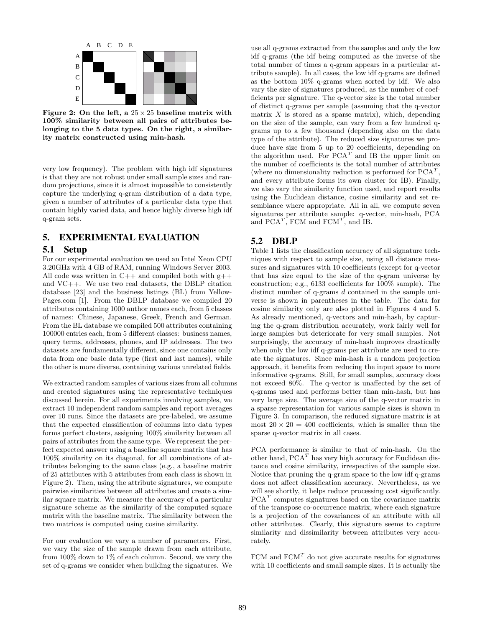

Figure 2: On the left, a  $25 \times 25$  baseline matrix with 100% similarity between all pairs of attributes belonging to the 5 data types. On the right, a similarity matrix constructed using min-hash.

very low frequency). The problem with high idf signatures is that they are not robust under small sample sizes and random projections, since it is almost impossible to consistently capture the underlying q-gram distribution of a data type, given a number of attributes of a particular data type that contain highly varied data, and hence highly diverse high idf q-gram sets.

#### 5. EXPERIMENTAL EVALUATION

#### 5.1 Setup

For our experimental evaluation we used an Intel Xeon CPU 3.20GHz with 4 GB of RAM, running Windows Server 2003. All code was written in  $C++$  and compiled both with  $g++$ and VC++. We use two real datasets, the DBLP citation database [23] and the business listings (BL) from Yellow-Pages.com [1]. From the DBLP database we compiled 20 attributes containing 1000 author names each, from 5 classes of names: Chinese, Japanese, Greek, French and German. From the BL database we compiled 500 attributes containing 100000 entries each, from 5 different classes: business names, query terms, addresses, phones, and IP addresses. The two datasets are fundamentally different, since one contains only data from one basic data type (first and last names), while the other is more diverse, containing various unrelated fields.

We extracted random samples of various sizes from all columns and created signatures using the representative techniques discussed herein. For all experiments involving samples, we extract 10 independent random samples and report averages over 10 runs. Since the datasets are pre-labeled, we assume that the expected classification of columns into data types forms perfect clusters, assigning 100% similarity between all pairs of attributes from the same type. We represent the perfect expected answer using a baseline square matrix that has 100% similarity on its diagonal, for all combinations of attributes belonging to the same class (e.g., a baseline matrix of 25 attributes with 5 attributes from each class is shown in Figure 2). Then, using the attribute signatures, we compute pairwise similarities between all attributes and create a similar square matrix. We measure the accuracy of a particular signature scheme as the similarity of the computed square matrix with the baseline matrix. The similarity between the two matrices is computed using cosine similarity.

For our evaluation we vary a number of parameters. First, we vary the size of the sample drawn from each attribute, from 100% down to 1% of each column. Second, we vary the set of q-grams we consider when building the signatures. We use all q-grams extracted from the samples and only the low idf q-grams (the idf being computed as the inverse of the total number of times a q-gram appears in a particular attribute sample). In all cases, the low idf q-grams are defined as the bottom 10% q-grams when sorted by idf. We also vary the size of signatures produced, as the number of coefficients per signature. The q-vector size is the total number of distinct q-grams per sample (assuming that the q-vector matrix  $X$  is stored as a sparse matrix), which, depending on the size of the sample, can vary from a few hundred qgrams up to a few thousand (depending also on the data type of the attribute). The reduced size signatures we produce have size from 5 up to 20 coefficients, depending on the algorithm used. For  $PCA^T$  and IB the upper limit on the number of coefficients is the total number of attributes (where no dimensionality reduction is performed for  $PCA<sup>T</sup>$ , and every attribute forms its own cluster for IB). Finally, we also vary the similarity function used, and report results using the Euclidean distance, cosine similarity and set resemblance where appropriate. All in all, we compute seven signatures per attribute sample: q-vector, min-hash, PCA and  $PCA<sup>T</sup>$ , FCM and  $FCM<sup>T</sup>$ , and IB.

# 5.2 DBLP

Table 1 lists the classification accuracy of all signature techniques with respect to sample size, using all distance measures and signatures with 10 coefficients (except for q-vector that has size equal to the size of the q-gram universe by construction; e.g., 6133 coefficients for 100% sample). The distinct number of q-grams d contained in the sample universe is shown in parentheses in the table. The data for cosine similarity only are also plotted in Figures 4 and 5. As already mentioned, q-vectors and min-hash, by capturing the q-gram distribution accurately, work fairly well for large samples but deteriorate for very small samples. Not surprisingly, the accuracy of min-hash improves drastically when only the low idf q-grams per attribute are used to create the signatures. Since min-hash is a random projection approach, it benefits from reducing the input space to more informative q-grams. Still, for small samples, accuracy does not exceed 80%. The q-vector is unaffected by the set of q-grams used and performs better than min-hash, but has very large size. The average size of the q-vector matrix in a sparse representation for various sample sizes is shown in Figure 3. In comparison, the reduced signature matrix is at most  $20 \times 20 = 400$  coefficients, which is smaller than the sparse q-vector matrix in all cases.

PCA performance is similar to that of min-hash. On the other hand,  $PCA<sup>T</sup>$  has very high accuracy for Euclidean distance and cosine similarity, irrespective of the sample size. Notice that pruning the q-gram space to the low idf q-grams does not affect classification accuracy. Nevertheless, as we will see shortly, it helps reduce processing cost significantly.  $PCA<sup>T</sup>$  computes signatures based on the covariance matrix of the transpose co-occurrence matrix, where each signature is a projection of the covariances of an attribute with all other attributes. Clearly, this signature seems to capture similarity and dissimilarity between attributes very accurately.

FCM and  $FCM<sup>T</sup>$  do not give accurate results for signatures with 10 coefficients and small sample sizes. It is actually the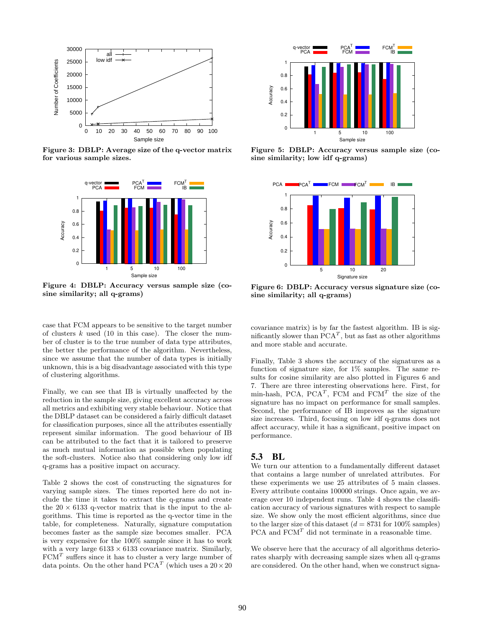

Figure 3: DBLP: Average size of the q-vector matrix for various sample sizes.



Figure 4: DBLP: Accuracy versus sample size (cosine similarity; all q-grams)

case that FCM appears to be sensitive to the target number of clusters  $k$  used (10 in this case). The closer the number of cluster is to the true number of data type attributes, the better the performance of the algorithm. Nevertheless, since we assume that the number of data types is initially unknown, this is a big disadvantage associated with this type of clustering algorithms.

Finally, we can see that IB is virtually unaffected by the reduction in the sample size, giving excellent accuracy across all metrics and exhibiting very stable behaviour. Notice that the DBLP dataset can be considered a fairly difficult dataset for classification purposes, since all the attributes essentially represent similar information. The good behaviour of IB can be attributed to the fact that it is tailored to preserve as much mutual information as possible when populating the soft-clusters. Notice also that considering only low idf q-grams has a positive impact on accuracy.

Table 2 shows the cost of constructing the signatures for varying sample sizes. The times reported here do not include the time it takes to extract the q-grams and create the  $20 \times 6133$  q-vector matrix that is the input to the algorithms. This time is reported as the q-vector time in the table, for completeness. Naturally, signature computation becomes faster as the sample size becomes smaller. PCA is very expensive for the 100% sample since it has to work with a very large  $6133 \times 6133$  covariance matrix. Similarly,  $FCM<sup>T</sup>$  suffers since it has to cluster a very large number of data points. On the other hand  $PCA<sup>T</sup>$  (which uses a  $20 \times 20$ 



Figure 5: DBLP: Accuracy versus sample size (cosine similarity; low idf q-grams)



Figure 6: DBLP: Accuracy versus signature size (cosine similarity; all q-grams)

covariance matrix) is by far the fastest algorithm. IB is significantly slower than  $PCA<sup>T</sup>$ , but as fast as other algorithms and more stable and accurate.

Finally, Table 3 shows the accuracy of the signatures as a function of signature size, for  $1\%$  samples. The same results for cosine similarity are also plotted in Figures 6 and 7. There are three interesting observations here. First, for min-hash, PCA,  $PCA<sup>T</sup>$ , FCM and  $FCM<sup>T</sup>$  the size of the signature has no impact on performance for small samples. Second, the performance of IB improves as the signature size increases. Third, focusing on low idf q-grams does not affect accuracy, while it has a significant, positive impact on performance.

#### 5.3 BL

We turn our attention to a fundamentally different dataset that contains a large number of unrelated attributes. For these experiments we use 25 attributes of 5 main classes. Every attribute contains 100000 strings. Once again, we average over 10 independent runs. Table 4 shows the classification accuracy of various signatures with respect to sample size. We show only the most efficient algorithms, since due to the larger size of this dataset  $(d = 8731$  for 100% samples) PCA and  $FCM<sup>T</sup>$  did not terminate in a reasonable time.

We observe here that the accuracy of all algorithms deteriorates sharply with decreasing sample sizes when all q-grams are considered. On the other hand, when we construct signa-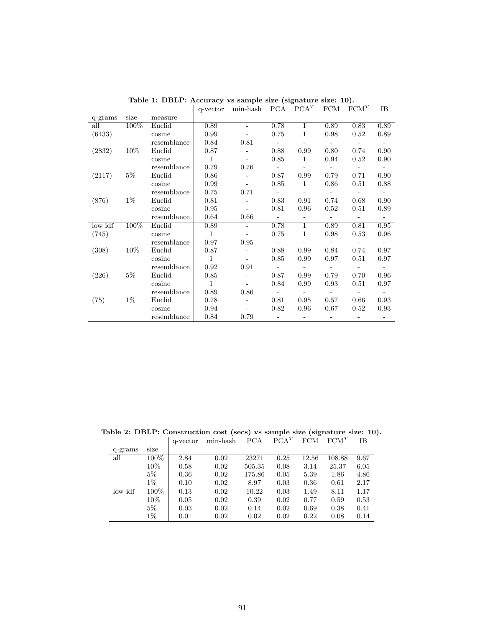|         |        |             |              | q-vector min-hash PCA $PCAT$ FCM |                          |                          |                      | $\text{FCM}^T$ | IB             |
|---------|--------|-------------|--------------|----------------------------------|--------------------------|--------------------------|----------------------|----------------|----------------|
| q-grams | size   | measure     |              |                                  |                          |                          |                      |                |                |
| all     | 100%   | Euclid      | 0.89         |                                  | 0.78                     | $\overline{1}$           | 0.89                 | 0.83           | 0.89           |
| (6133)  |        | cosine      | 0.99         |                                  | 0.75                     | 1                        | 0.98                 | 0.52           | 0.89           |
|         |        | resemblance | 0.84         | 0.81                             |                          |                          | $\sim$ $^{-1}$       |                | $\sim$ $-$     |
| (2832)  | $10\%$ | Euclid      | 0.87         |                                  | 0.88                     | 0.99                     | 0.80                 | 0.74           | 0.90           |
|         |        | cosine      | 1            |                                  | 0.85                     | 1                        | 0.94                 | 0.52           | 0.90           |
|         |        | resemblance | 0.79         | 0.76                             | $\sim$                   |                          | $\sim$ $-$           | $\sim$ $-$     | $\sim$ $-$     |
| (2117)  | $5\%$  | Euclid      | 0.86         |                                  | 0.87                     | 0.99                     | 0.79                 | 0.71           | 0.90           |
|         |        | cosine      | 0.99         |                                  | 0.85                     | <sup>1</sup>             | 0.86                 | 0.51           | 0.88           |
|         |        | resemblance | 0.75         | 0.71                             | $\sim$ $^{-1}$           | $\overline{\phantom{a}}$ | $\sim 100$ m $^{-1}$ | $\sim$ $-$     | $\sim$ $ \sim$ |
| (876)   | $1\%$  | Euclid      | 0.81         |                                  | 0.83                     | 0.91                     | 0.74                 | 0.68           | 0.90           |
|         |        | cosine      | 0.95         |                                  | 0.81                     | 0.96                     | 0.52                 | 0.51           | 0.89           |
|         |        | resemblance | 0.64         | 0.66                             | $\sim$                   |                          | $\sim$ .             |                | $\sim$ $-$     |
| low idf | 100%   | Euclid      | 0.89         | $\blacksquare$                   | 0.78                     | $\mathbf{1}$             | 0.89                 | 0.81           | 0.95           |
| (745)   |        | cosine      | $\mathbf{1}$ |                                  | 0.75                     | $\mathbf{1}$             | 0.98                 | 0.53           | 0.96           |
|         |        | resemblance | 0.97         | 0.95                             |                          |                          | $\sim$ $-$           |                |                |
| (308)   | $10\%$ | Euclid      | 0.87         |                                  | 0.88                     | 0.99                     | 0.84                 | 0.74           | 0.97           |
|         |        | cosine      | <sup>1</sup> |                                  | 0.85                     | 0.99                     | 0.97                 | 0.51           | 0.97           |
|         |        | resemblance | 0.92         | 0.91                             | $\sim$                   | $\sim$                   | $\sim 10^{-10}$      |                | $\sim$ $-$     |
| (226)   | $5\%$  | Euclid      | 0.85         |                                  | 0.87                     | 0.99                     | 0.79                 | 0.70           | 0.96           |
|         |        | cosine      | $\mathbf{1}$ |                                  | 0.84                     | 0.99                     | 0.93                 | 0.51           | 0.97           |
|         |        | resemblance | 0.89         | 0.86                             | $\sim$                   | $\sim$ $-$               | $\sim$               |                | $\sim$         |
| (75)    | $1\%$  | Euclid      | 0.78         |                                  | 0.81                     | 0.95                     | 0.57                 | 0.66           | 0.93           |
|         |        | cosine      | 0.94         |                                  | 0.82                     | 0.96                     | 0.67                 | 0.52           | 0.93           |
|         |        | resemblance | 0.84         | 0.79                             | $\overline{\phantom{a}}$ |                          |                      |                |                |

Table 1: DBLP: Accuracy vs sample size (signature size: 10).

Table 2: DBLP: Construction cost (secs) vs sample size (signature size: 10). q-vector min-hash PCA  $PCA$   $PCA$ <sup>T</sup>  $FCM$   $FCM$ <sup>T</sup> IB

| q-grams | size    |      |      |        |      |       |        |      |
|---------|---------|------|------|--------|------|-------|--------|------|
| all     | 100%    | 2.84 | 0.02 | 23271  | 0.25 | 12.56 | 108.88 | 9.67 |
|         | $10\%$  | 0.58 | 0.02 | 505.35 | 0.08 | 3.14  | 25.37  | 6.05 |
|         | $5\%$   | 0.36 | 0.02 | 175.86 | 0.05 | 5.39  | 1.86   | 4.86 |
|         | $1\%$   | 0.10 | 0.02 | 8.97   | 0.03 | 0.36  | 0.61   | 2.17 |
| low idf | $100\%$ | 0.13 | 0.02 | 10.22  | 0.03 | 1.49  | 8.11   | 1.17 |
|         | 10%     | 0.05 | 0.02 | 0.39   | 0.02 | 0.77  | 0.59   | 0.53 |
|         | $5\%$   | 0.03 | 0.02 | 0.14   | 0.02 | 0.69  | 0.38   | 0.41 |
|         | $1\%$   | 0.01 | 0.02 | 0.02   | 0.02 | 0.22  | 0.08   | 0.14 |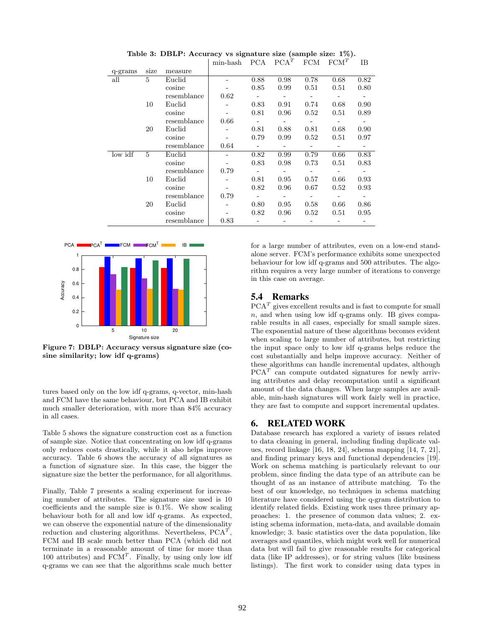| q-grams | size           | measure     |      |                          |                          |      |      |      |
|---------|----------------|-------------|------|--------------------------|--------------------------|------|------|------|
| all     | $\overline{5}$ | Euclid      |      | 0.88                     | 0.98                     | 0.78 | 0.68 | 0.82 |
|         |                | cosine      |      | 0.85                     | 0.99                     | 0.51 | 0.51 | 0.80 |
|         |                | resemblance | 0.62 | $\overline{\phantom{a}}$ | $\overline{\phantom{a}}$ |      |      |      |
|         | 10             | Euclid      |      | 0.83                     | 0.91                     | 0.74 | 0.68 | 0.90 |
|         |                | cosine      |      | 0.81                     | 0.96                     | 0.52 | 0.51 | 0.89 |
|         |                | resemblance | 0.66 | $\overline{\phantom{a}}$ | $\overline{\phantom{m}}$ |      |      |      |
|         | 20             | Euclid      |      | 0.81                     | 0.88                     | 0.81 | 0.68 | 0.90 |
|         |                | cosine      |      | 0.79                     | 0.99                     | 0.52 | 0.51 | 0.97 |
|         |                | resemblance | 0.64 | $\qquad \qquad -$        |                          |      |      |      |
| low idf | $\overline{5}$ | Euclid      |      | 0.82                     | 0.99                     | 0.79 | 0.66 | 0.83 |
|         |                | cosine      |      | 0.83                     | 0.98                     | 0.73 | 0.51 | 0.83 |
|         |                | resemblance | 0.79 |                          | $\overline{\phantom{a}}$ |      |      |      |
|         | 10             | Euclid      |      | 0.81                     | 0.95                     | 0.57 | 0.66 | 0.93 |
|         |                | cosine      |      | 0.82                     | 0.96                     | 0.67 | 0.52 | 0.93 |
|         |                | resemblance | 0.79 |                          | $\overline{\phantom{m}}$ |      |      |      |
|         | 20             | Euclid      |      | 0.80                     | 0.95                     | 0.58 | 0.66 | 0.86 |
|         |                | cosine      |      | 0.82                     | 0.96                     | 0.52 | 0.51 | 0.95 |
|         |                | resemblance | 0.83 |                          |                          |      |      |      |

Table 3: DBLP: Accuracy vs signature size (sample size: 1%).  $\mid$ min-hash PCA  $\mathsf{PCA}^T$  FCM  $\mathsf{FCM}^T$ IB



Figure 7: DBLP: Accuracy versus signature size (cosine similarity; low idf q-grams)

tures based only on the low idf q-grams, q-vector, min-hash and FCM have the same behaviour, but PCA and IB exhibit much smaller deterioration, with more than 84% accuracy in all cases.

Table 5 shows the signature construction cost as a function of sample size. Notice that concentrating on low idf q-grams only reduces costs drastically, while it also helps improve accuracy. Table 6 shows the accuracy of all signatures as a function of signature size. In this case, the bigger the signature size the better the performance, for all algorithms.

Finally, Table 7 presents a scaling experiment for increasing number of attributes. The signature size used is 10 coefficients and the sample size is 0.1%. We show scaling behaviour both for all and low idf q-grams. As expected, we can observe the exponential nature of the dimensionality reduction and clustering algorithms. Nevertheless,  $PCA<sup>T</sup>$ , FCM and IB scale much better than PCA (which did not terminate in a reasonable amount of time for more than 100 attributes) and  $FCM<sup>T</sup>$ . Finally, by using only low idf q-grams we can see that the algorithms scale much better

for a large number of attributes, even on a low-end standalone server. FCM's performance exhibits some unexpected behaviour for low idf q-grams and 500 attributes. The algorithm requires a very large number of iterations to converge in this case on average.

# 5.4 Remarks

 $PCA<sup>T</sup>$  gives excellent results and is fast to compute for small  $n$ , and when using low idf q-grams only. IB gives comparable results in all cases, especially for small sample sizes. The exponential nature of these algorithms becomes evident when scaling to large number of attributes, but restricting the input space only to low idf q-grams helps reduce the cost substantially and helps improve accuracy. Neither of these algorithms can handle incremental updates, although  $PCA<sup>T</sup>$  can compute outdated signatures for newly arriving attributes and delay recomputation until a significant amount of the data changes. When large samples are available, min-hash signatures will work fairly well in practice, they are fast to compute and support incremental updates.

# 6. RELATED WORK

Database research has explored a variety of issues related to data cleaning in general, including finding duplicate values, record linkage [16, 18, 24], schema mapping [14, 7, 21], and finding primary keys and functional dependencies [19]. Work on schema matching is particularly relevant to our problem, since finding the data type of an attribute can be thought of as an instance of attribute matching. To the best of our knowledge, no techniques in schema matching literature have considered using the q-gram distribution to identify related fields. Existing work uses three primary approaches: 1. the presence of common data values; 2. existing schema information, meta-data, and available domain knowledge; 3. basic statistics over the data population, like averages and quantiles, which might work well for numerical data but will fail to give reasonable results for categorical data (like IP addresses), or for string values (like business listings). The first work to consider using data types in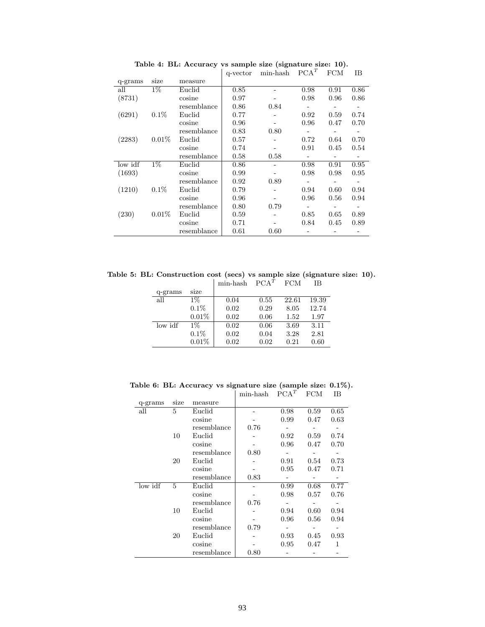|         |          |             | q-vector | min-hash | PCA <sup>T</sup> | <b>FCM</b> | IB   |
|---------|----------|-------------|----------|----------|------------------|------------|------|
| q-grams | size     | measure     |          |          |                  |            |      |
| all     | $1\%$    | Euclid      | 0.85     |          | 0.98             | 0.91       | 0.86 |
| (8731)  |          | cosine      | 0.97     |          | 0.98             | 0.96       | 0.86 |
|         |          | resemblance | 0.86     | 0.84     |                  |            |      |
| (6291)  | $0.1\%$  | Euclid      | 0.77     |          | 0.92             | 0.59       | 0.74 |
|         |          | cosine      | 0.96     |          | 0.96             | 0.47       | 0.70 |
|         |          | resemblance | 0.83     | 0.80     |                  |            |      |
| (2283)  | 0.01%    | Euclid      | 0.57     |          | 0.72             | 0.64       | 0.70 |
|         |          | cosine      | 0.74     |          | 0.91             | 0.45       | 0.54 |
|         |          | resemblance | 0.58     | 0.58     |                  |            |      |
| low idf | $1\%$    | Euclid      | 0.86     |          | 0.98             | 0.91       | 0.95 |
| (1693)  |          | cosine      | 0.99     |          | 0.98             | 0.98       | 0.95 |
|         |          | resemblance | 0.92     | 0.89     |                  |            |      |
| (1210)  | $0.1\%$  | Euclid      | 0.79     |          | 0.94             | 0.60       | 0.94 |
|         |          | cosine      | 0.96     |          | 0.96             | 0.56       | 0.94 |
|         |          | resemblance | 0.80     | 0.79     |                  |            |      |
| (230)   | $0.01\%$ | Euclid      | 0.59     |          | 0.85             | 0.65       | 0.89 |
|         |          | cosine      | 0.71     |          | 0.84             | 0.45       | 0.89 |
|         |          | resemblance | 0.61     | 0.60     |                  |            |      |

Table 4: BL: Accuracy vs sample size (signature size: 10).

Table 5: BL: Construction cost (secs) vs sample size (signature size: 10).  $min\text{-}hash$   $PCA<sup>T</sup>$   $FCM$  IB

|                         |         | ****** ******* | .    |       |       |
|-------------------------|---------|----------------|------|-------|-------|
| q-grams                 | size    |                |      |       |       |
| $\overline{\text{all}}$ | $1\%$   | 0.04           | 0.55 | 22.61 | 19.39 |
|                         | $0.1\%$ | 0.02           | 0.29 | 8.05  | 12.74 |
|                         | 0.01%   | 0.02           | 0.06 | 1.52  | 1.97  |
| low idf                 | $1\%$   | 0.02           | 0.06 | 3.69  | 3.11  |
|                         | $0.1\%$ | 0.02           | 0.04 | 3.28  | 2.81  |
|                         | 0.01%   | 0.02           | 0.02 | 0.21  | 0.60  |
|                         |         |                |      |       |       |

Table 6: BL: Accuracy vs signature size (sample size: 0.1%). min-hash  $PCA^T$  FCM IB

|           |      |             | ппп-пам | T UA | T U.VI | ΙD   |
|-----------|------|-------------|---------|------|--------|------|
| q-grams   | size | measure     |         |      |        |      |
| all       | 5    | Euclid      |         | 0.98 | 0.59   | 0.65 |
|           |      | cosine      |         | 0.99 | 0.47   | 0.63 |
|           |      | resemblance | 0.76    |      |        |      |
|           | 10   | Euclid      |         | 0.92 | 0.59   | 0.74 |
|           |      | cosine      |         | 0.96 | 0.47   | 0.70 |
|           |      | resemblance | 0.80    |      |        |      |
|           | 20   | Euclid      |         | 0.91 | 0.54   | 0.73 |
|           |      | cosine      |         | 0.95 | 0.47   | 0.71 |
|           |      | resemblance | 0.83    |      |        |      |
| $low$ idf | 5    | Euclid      |         | 0.99 | 0.68   | 0.77 |
|           |      | cosine      |         | 0.98 | 0.57   | 0.76 |
|           |      | resemblance | 0.76    |      |        |      |
|           | 10   | Euclid      |         | 0.94 | 0.60   | 0.94 |
|           |      | cosine      |         | 0.96 | 0.56   | 0.94 |
|           |      | resemblance | 0.79    |      |        |      |
|           | 20   | Euclid      |         | 0.93 | 0.45   | 0.93 |
|           |      | cosine      |         | 0.95 | 0.47   | 1    |
|           |      | resemblance | 0.80    |      |        |      |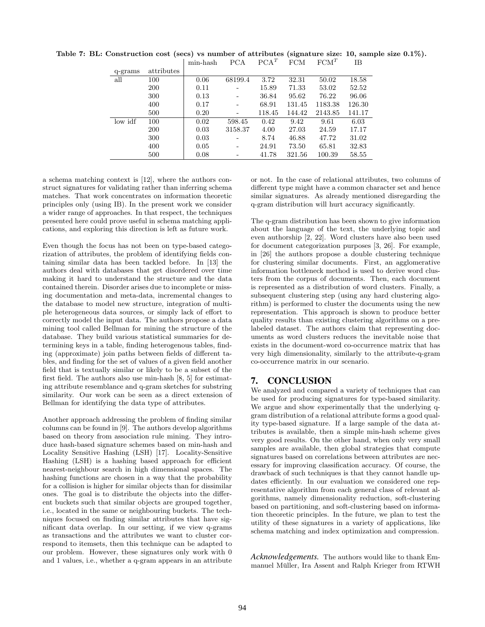| q-grams | attributes |      |                          |        |        |         |        |
|---------|------------|------|--------------------------|--------|--------|---------|--------|
| all     | 100        | 0.06 | 68199.4                  | 3.72   | 32.31  | 50.02   | 18.58  |
|         | 200        | 0.11 | $\overline{\phantom{0}}$ | 15.89  | 71.33  | 53.02   | 52.52  |
|         | 300        | 0.13 | $\overline{\phantom{0}}$ | 36.84  | 95.62  | 76.22   | 96.06  |
|         | 400        | 0.17 |                          | 68.91  | 131.45 | 1183.38 | 126.30 |
|         | 500        | 0.20 | $\overline{\phantom{a}}$ | 118.45 | 144.42 | 2143.85 | 141.17 |
| low idf | 100        | 0.02 | 598.45                   | 0.42   | 9.42   | 9.61    | 6.03   |
|         | 200        | 0.03 | 3158.37                  | 4.00   | 27.03  | 24.59   | 17.17  |
|         | 300        | 0.03 |                          | 8.74   | 46.88  | 47.72   | 31.02  |
|         | 400        | 0.05 |                          | 24.91  | 73.50  | 65.81   | 32.83  |
|         | 500        | 0.08 |                          | 41.78  | 321.56 | 100.39  | 58.55  |

Table 7: BL: Construction cost (secs) vs number of attributes (signature size: 10, sample size 0.1%).  $\parallel$  min-hash PCA PCA<sup>T</sup> FCM FCM<sup>T</sup> IB

a schema matching context is [12], where the authors construct signatures for validating rather than inferring schema matches. That work concentrates on information theoretic principles only (using IB). In the present work we consider a wider range of approaches. In that respect, the techniques presented here could prove useful in schema matching applications, and exploring this direction is left as future work.

Even though the focus has not been on type-based categorization of attributes, the problem of identifying fields containing similar data has been tackled before. In [13] the authors deal with databases that get disordered over time making it hard to understand the structure and the data contained therein. Disorder arises due to incomplete or missing documentation and meta-data, incremental changes to the database to model new structure, integration of multiple heterogeneous data sources, or simply lack of effort to correctly model the input data. The authors propose a data mining tool called Bellman for mining the structure of the database. They build various statistical summaries for determining keys in a table, finding heterogenous tables, finding (approximate) join paths between fields of different tables, and finding for the set of values of a given field another field that is textually similar or likely to be a subset of the first field. The authors also use min-hash [8, 5] for estimating attribute resemblance and q-gram sketches for substring similarity. Our work can be seen as a direct extension of Bellman for identifying the data type of attributes.

Another approach addressing the problem of finding similar columns can be found in [9]. The authors develop algorithms based on theory from association rule mining. They introduce hash-based signature schemes based on min-hash and Locality Sensitive Hashing (LSH) [17]. Locality-Sensitive Hashing (LSH) is a hashing based approach for efficient nearest-neighbour search in high dimensional spaces. The hashing functions are chosen in a way that the probability for a collision is higher for similar objects than for dissimilar ones. The goal is to distribute the objects into the different buckets such that similar objects are grouped together, i.e., located in the same or neighbouring buckets. The techniques focused on finding similar attributes that have significant data overlap. In our setting, if we view q-grams as transactions and the attributes we want to cluster correspond to itemsets, then this technique can be adapted to our problem. However, these signatures only work with 0 and 1 values, i.e., whether a q-gram appears in an attribute

or not. In the case of relational attributes, two columns of different type might have a common character set and hence similar signatures. As already mentioned disregarding the q-gram distribution will hurt accuracy significantly.

The q-gram distribution has been shown to give information about the language of the text, the underlying topic and even authorship [2, 22]. Word clusters have also been used for document categorization purposes [3, 26]. For example, in [26] the authors propose a double clustering technique for clustering similar documents. First, an agglomerative information bottleneck method is used to derive word clusters from the corpus of documents. Then, each document is represented as a distribution of word clusters. Finally, a subsequent clustering step (using any hard clustering algorithm) is performed to cluster the documents using the new representation. This approach is shown to produce better quality results than existing clustering algorithms on a prelabeled dataset. The authors claim that representing documents as word clusters reduces the inevitable noise that exists in the document-word co-occurrence matrix that has very high dimensionality, similarly to the attribute-q-gram co-occurrence matrix in our scenario.

# 7. CONCLUSION

We analyzed and compared a variety of techniques that can be used for producing signatures for type-based similarity. We argue and show experimentally that the underlying qgram distribution of a relational attribute forms a good quality type-based signature. If a large sample of the data attributes is available, then a simple min-hash scheme gives very good results. On the other hand, when only very small samples are available, then global strategies that compute signatures based on correlations between attributes are necessary for improving classification accuracy. Of course, the drawback of such techniques is that they cannot handle updates efficiently. In our evaluation we considered one representative algorithm from each general class of relevant algorithms, namely dimensionality reduction, soft-clustering based on partitioning, and soft-clustering based on information theoretic principles. In the future, we plan to test the utility of these signatures in a variety of applications, like schema matching and index optimization and compression.

*Acknowledgements.* The authors would like to thank Emmanuel Müller, Ira Assent and Ralph Krieger from RTWH